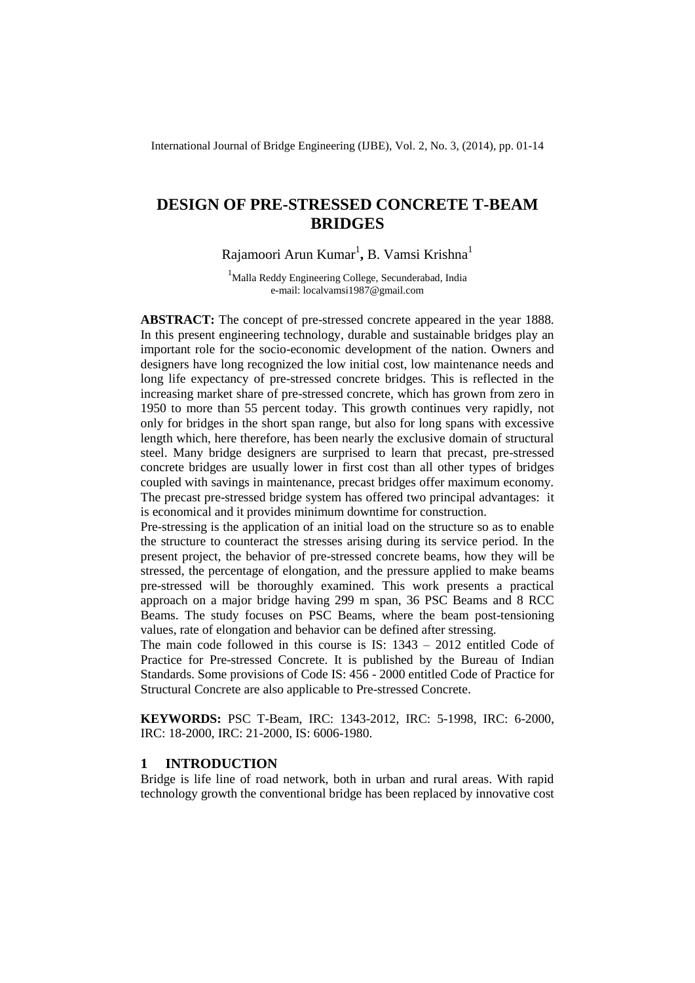International Journal of Bridge Engineering (IJBE), Vol. 2, No. 3, (2014), pp. 01-14

# **DESIGN OF PRE-STRESSED CONCRETE T-BEAM BRIDGES**

Rajamoori Arun Kumar<sup>1</sup>, B. Vamsi Krishna<sup>1</sup>

<sup>1</sup>Malla Reddy Engineering College, Secunderabad, India e-mail: localvamsi1987@gmail.com

**ABSTRACT:** The concept of pre-stressed concrete appeared in the year 1888. In this present engineering technology, durable and sustainable bridges play an important role for the socio-economic development of the nation. Owners and designers have long recognized the low initial cost, low maintenance needs and long life expectancy of pre-stressed concrete bridges. This is reflected in the increasing market share of pre-stressed concrete, which has grown from zero in 1950 to more than 55 percent today. This growth continues very rapidly, not only for bridges in the short span range, but also for long spans with excessive length which, here therefore, has been nearly the exclusive domain of structural steel. Many bridge designers are surprised to learn that precast, pre-stressed concrete bridges are usually lower in first cost than all other types of bridges coupled with savings in maintenance, precast bridges offer maximum economy. The precast pre-stressed bridge system has offered two principal advantages: it is economical and it provides minimum downtime for construction.

Pre-stressing is the application of an initial load on the structure so as to enable the structure to counteract the stresses arising during its service period. In the present project, the behavior of pre-stressed concrete beams, how they will be stressed, the percentage of elongation, and the pressure applied to make beams pre-stressed will be thoroughly examined. This work presents a practical approach on a major bridge having 299 m span, 36 PSC Beams and 8 RCC Beams. The study focuses on PSC Beams, where the beam post-tensioning values, rate of elongation and behavior can be defined after stressing.

The main code followed in this course is IS: 1343 – 2012 entitled Code of Practice for Pre-stressed Concrete. It is published by the Bureau of Indian Standards. Some provisions of Code IS: 456 - 2000 entitled Code of Practice for Structural Concrete are also applicable to Pre-stressed Concrete.

**KEYWORDS:** PSC T-Beam, IRC: 1343-2012, IRC: 5-1998, IRC: 6-2000, IRC: 18-2000, IRC: 21-2000, IS: 6006-1980.

### **1 INTRODUCTION**

Bridge is life line of road network, both in urban and rural areas. With rapid technology growth the conventional bridge has been replaced by innovative cost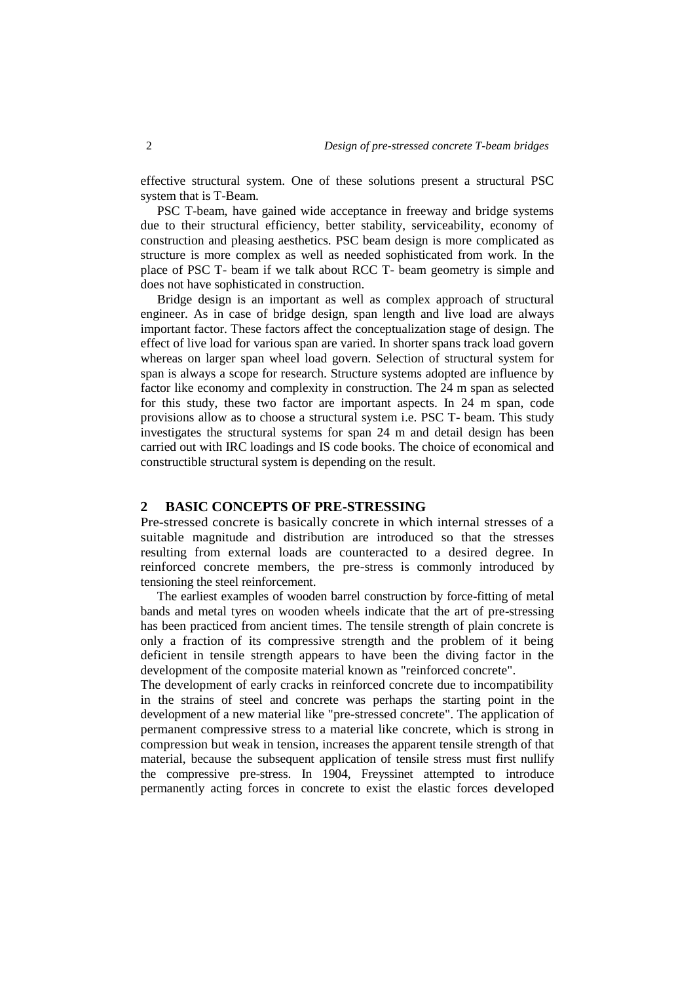effective structural system. One of these solutions present a structural PSC system that is T-Beam.

PSC T-beam, have gained wide acceptance in freeway and bridge systems due to their structural efficiency, better stability, serviceability, economy of construction and pleasing aesthetics. PSC beam design is more complicated as structure is more complex as well as needed sophisticated from work. In the place of PSC T- beam if we talk about RCC T- beam geometry is simple and does not have sophisticated in construction.

Bridge design is an important as well as complex approach of structural engineer. As in case of bridge design, span length and live load are always important factor. These factors affect the conceptualization stage of design. The effect of live load for various span are varied. In shorter spans track load govern whereas on larger span wheel load govern. Selection of structural system for span is always a scope for research. Structure systems adopted are influence by factor like economy and complexity in construction. The 24 m span as selected for this study, these two factor are important aspects. In 24 m span, code provisions allow as to choose a structural system i.e. PSC T- beam. This study investigates the structural systems for span 24 m and detail design has been carried out with IRC loadings and IS code books. The choice of economical and constructible structural system is depending on the result.

# **2 BASIC CONCEPTS OF PRE-STRESSING**

Pre-stressed concrete is basically concrete in which internal stresses of a suitable magnitude and distribution are introduced so that the stresses resulting from external loads are counteracted to a desired degree. In reinforced concrete members, the pre-stress is commonly introduced by tensioning the steel reinforcement.

The earliest examples of wooden barrel construction by force-fitting of metal bands and metal tyres on wooden wheels indicate that the art of pre-stressing has been practiced from ancient times. The tensile strength of plain concrete is only a fraction of its compressive strength and the problem of it being deficient in tensile strength appears to have been the diving factor in the development of the composite material known as "reinforced concrete".

The development of early cracks in reinforced concrete due to incompatibility in the strains of steel and concrete was perhaps the starting point in the development of a new material like "pre-stressed concrete". The application of permanent compressive stress to a material like concrete, which is strong in compression but weak in tension, increases the apparent tensile strength of that material, because the subsequent application of tensile stress must first nullify the compressive pre-stress. In 1904, Freyssinet attempted to introduce permanently acting forces in concrete to exist the elastic forces developed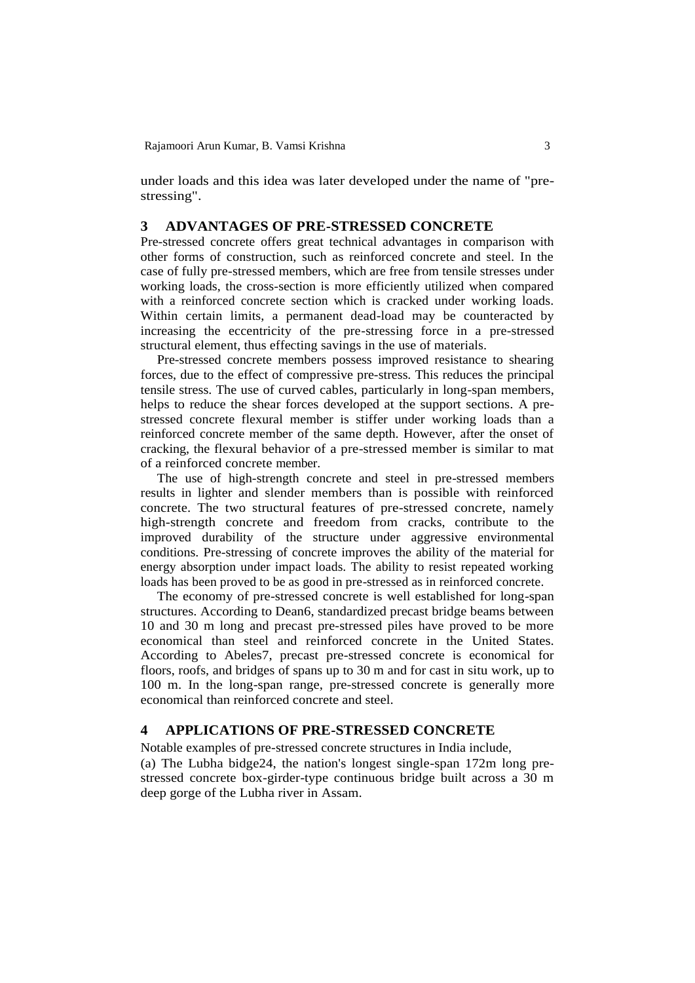under loads and this idea was later developed under the name of "prestressing".

### **3 ADVANTAGES OF PRE-STRESSED CONCRETE**

Pre-stressed concrete offers great technical advantages in comparison with other forms of construction, such as reinforced concrete and steel. In the case of fully pre-stressed members, which are free from tensile stresses under working loads, the cross-section is more efficiently utilized when compared with a reinforced concrete section which is cracked under working loads. Within certain limits, a permanent dead-load may be counteracted by increasing the eccentricity of the pre-stressing force in a pre-stressed structural element, thus effecting savings in the use of materials.

Pre-stressed concrete members possess improved resistance to shearing forces, due to the effect of compressive pre-stress. This reduces the principal tensile stress. The use of curved cables, particularly in long-span members, helps to reduce the shear forces developed at the support sections. A prestressed concrete flexural member is stiffer under working loads than a reinforced concrete member of the same depth. However, after the onset of cracking, the flexural behavior of a pre-stressed member is similar to mat of a reinforced concrete member.

The use of high-strength concrete and steel in pre-stressed members results in lighter and slender members than is possible with reinforced concrete. The two structural features of pre-stressed concrete, namely high-strength concrete and freedom from cracks, contribute to the improved durability of the structure under aggressive environmental conditions. Pre-stressing of concrete improves the ability of the material for energy absorption under impact loads. The ability to resist repeated working loads has been proved to be as good in pre-stressed as in reinforced concrete.

The economy of pre-stressed concrete is well established for long-span structures. According to Dean6, standardized precast bridge beams between 10 and 30 m long and precast pre-stressed piles have proved to be more economical than steel and reinforced concrete in the United States. According to Abeles7, precast pre-stressed concrete is economical for floors, roofs, and bridges of spans up to 30 m and for cast in situ work, up to 100 m. In the long-span range, pre-stressed concrete is generally more economical than reinforced concrete and steel.

# **4 APPLICATIONS OF PRE-STRESSED CONCRETE**

Notable examples of pre-stressed concrete structures in India include,

(a) The Lubha bidge24, the nation's longest single-span 172m long prestressed concrete box-girder-type continuous bridge built across a 30 m deep gorge of the Lubha river in Assam.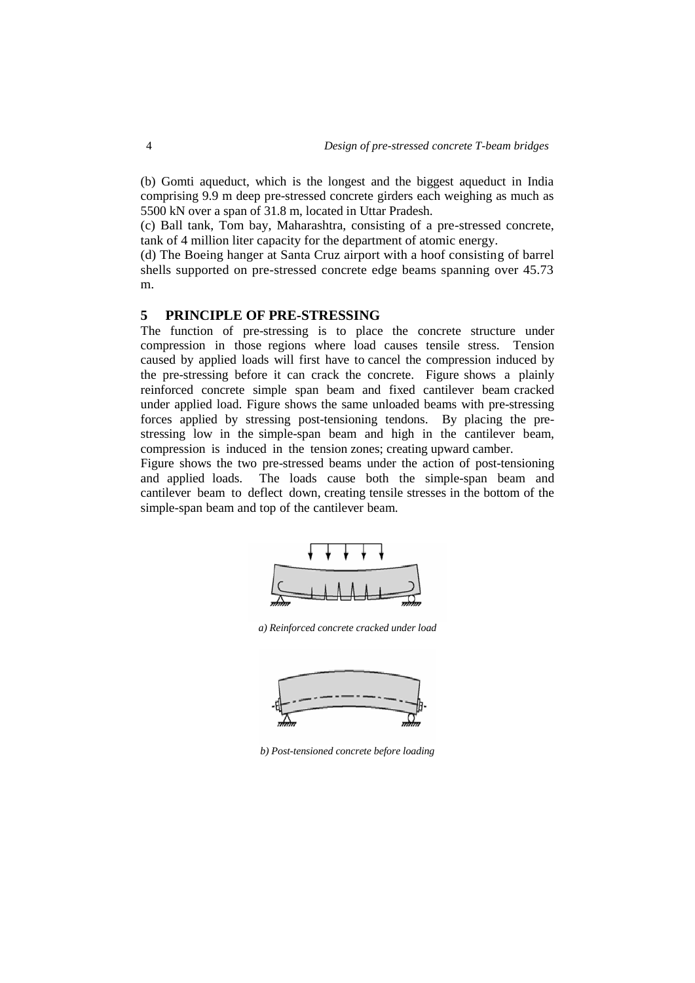(b) Gomti aqueduct, which is the longest and the biggest aqueduct in India comprising 9.9 m deep pre-stressed concrete girders each weighing as much as 5500 kN over a span of 31.8 m, located in Uttar Pradesh.

(c) Ball tank, Tom bay, Maharashtra, consisting of a pre-stressed concrete, tank of 4 million liter capacity for the department of atomic energy.

(d) The Boeing hanger at Santa Cruz airport with a hoof consisting of barrel shells supported on pre-stressed concrete edge beams spanning over 45.73 m.

# **5 PRINCIPLE OF PRE-STRESSING**

The function of pre-stressing is to place the concrete structure under compression in those regions where load causes tensile stress. Tension caused by applied loads will first have to cancel the compression induced by the pre-stressing before it can crack the concrete. Figure shows a plainly reinforced concrete simple span beam and fixed cantilever beam cracked under applied load. Figure shows the same unloaded beams with pre-stressing forces applied by stressing post-tensioning tendons. By placing the prestressing low in the simple-span beam and high in the cantilever beam, compression is induced in the tension zones; creating upward camber.

Figure shows the two pre-stressed beams under the action of post-tensioning and applied loads. The loads cause both the simple-span beam and cantilever beam to deflect down, creating tensile stresses in the bottom of the simple-span beam and top of the cantilever beam.



*a) Reinforced concrete cracked under load*



*b) Post-tensioned concrete before loading*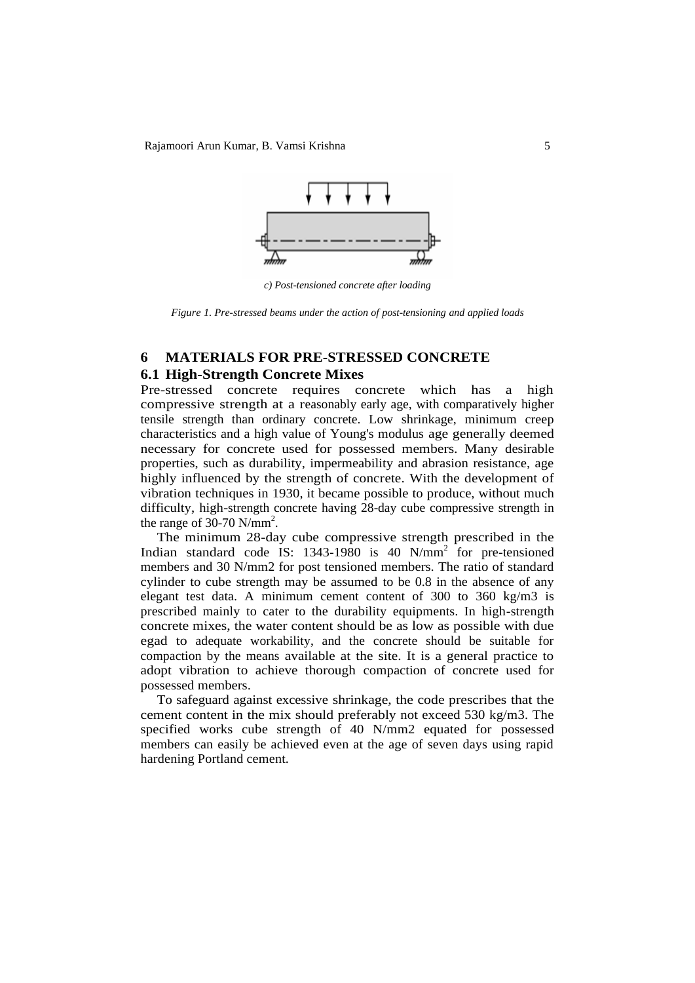

*c) Post-tensioned concrete after loading*

*Figure 1. Pre-stressed beams under the action of post-tensioning and applied loads*

# **6 MATERIALS FOR PRE-STRESSED CONCRETE**

### **6.1 High-Strength Concrete Mixes**

Pre-stressed concrete requires concrete which has a high compressive strength at a reasonably early age, with comparatively higher tensile strength than ordinary concrete. Low shrinkage, minimum creep characteristics and a high value of Young's modulus age generally deemed necessary for concrete used for possessed members. Many desirable properties, such as durability, impermeability and abrasion resistance, age highly influenced by the strength of concrete. With the development of vibration techniques in 1930, it became possible to produce, without much difficulty, high-strength concrete having 28-day cube compressive strength in the range of  $30-70$  N/mm<sup>2</sup>.

The minimum 28-day cube compressive strength prescribed in the Indian standard code IS: 1343-1980 is 40 N/mm<sup>2</sup> for pre-tensioned members and 30 N/mm2 for post tensioned members. The ratio of standard cylinder to cube strength may be assumed to be 0.8 in the absence of any elegant test data. A minimum cement content of 300 to 360 kg/m3 is prescribed mainly to cater to the durability equipments. In high-strength concrete mixes, the water content should be as low as possible with due egad to adequate workability, and the concrete should be suitable for compaction by the means available at the site. It is a general practice to adopt vibration to achieve thorough compaction of concrete used for possessed members.

To safeguard against excessive shrinkage, the code prescribes that the cement content in the mix should preferably not exceed 530 kg/m3. The specified works cube strength of 40 N/mm2 equated for possessed members can easily be achieved even at the age of seven days using rapid hardening Portland cement.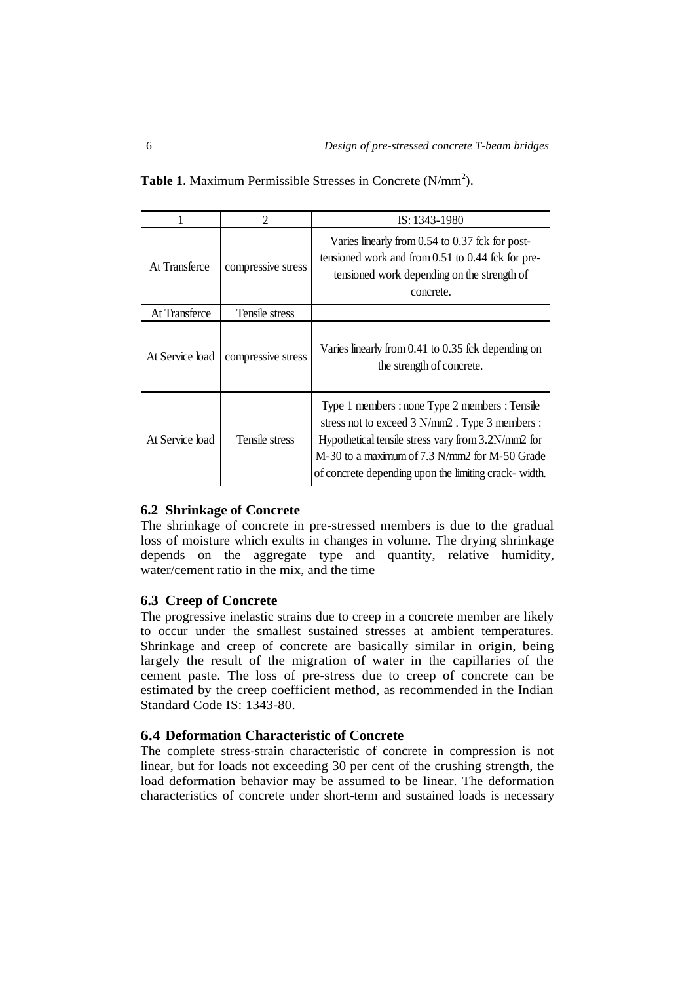|                 | $\mathcal{D}_{\mathcal{L}}$ | IS: 1343-1980                                                                                                                                                                                                                                                    |  |  |
|-----------------|-----------------------------|------------------------------------------------------------------------------------------------------------------------------------------------------------------------------------------------------------------------------------------------------------------|--|--|
| At Transferce   | compressive stress          | Varies linearly from 0.54 to 0.37 fck for post-<br>tensioned work and from 0.51 to 0.44 fck for pre-<br>tensioned work depending on the strength of<br>concrete.                                                                                                 |  |  |
| At Transferce   | Tensile stress              |                                                                                                                                                                                                                                                                  |  |  |
| At Service load | compressive stress          | Varies linearly from 0.41 to 0.35 fck depending on<br>the strength of concrete.                                                                                                                                                                                  |  |  |
| At Service load | Tensile stress              | Type 1 members : none Type 2 members : Tensile<br>stress not to exceed 3 N/mm2. Type 3 members :<br>Hypothetical tensile stress vary from 3.2N/mm2 for<br>M-30 to a maximum of 7.3 N/mm2 for M-50 Grade<br>of concrete depending upon the limiting crack- width. |  |  |

Table 1. Maximum Permissible Stresses in Concrete (N/mm<sup>2</sup>).

# **6.2 Shrinkage of Concrete**

The shrinkage of concrete in pre-stressed members is due to the gradual loss of moisture which exults in changes in volume. The drying shrinkage depends on the aggregate type and quantity, relative humidity, water/cement ratio in the mix, and the time

# **6.3 Creep of Concrete**

The progressive inelastic strains due to creep in a concrete member are likely to occur under the smallest sustained stresses at ambient temperatures. Shrinkage and creep of concrete are basically similar in origin, being largely the result of the migration of water in the capillaries of the cement paste. The loss of pre-stress due to creep of concrete can be estimated by the creep coefficient method, as recommended in the Indian Standard Code IS: 1343-80.

# **6.4 Deformation Characteristic of Concrete**

The complete stress-strain characteristic of concrete in compression is not linear, but for loads not exceeding 30 per cent of the crushing strength, the load deformation behavior may be assumed to be linear. The deformation characteristics of concrete under short-term and sustained loads is necessary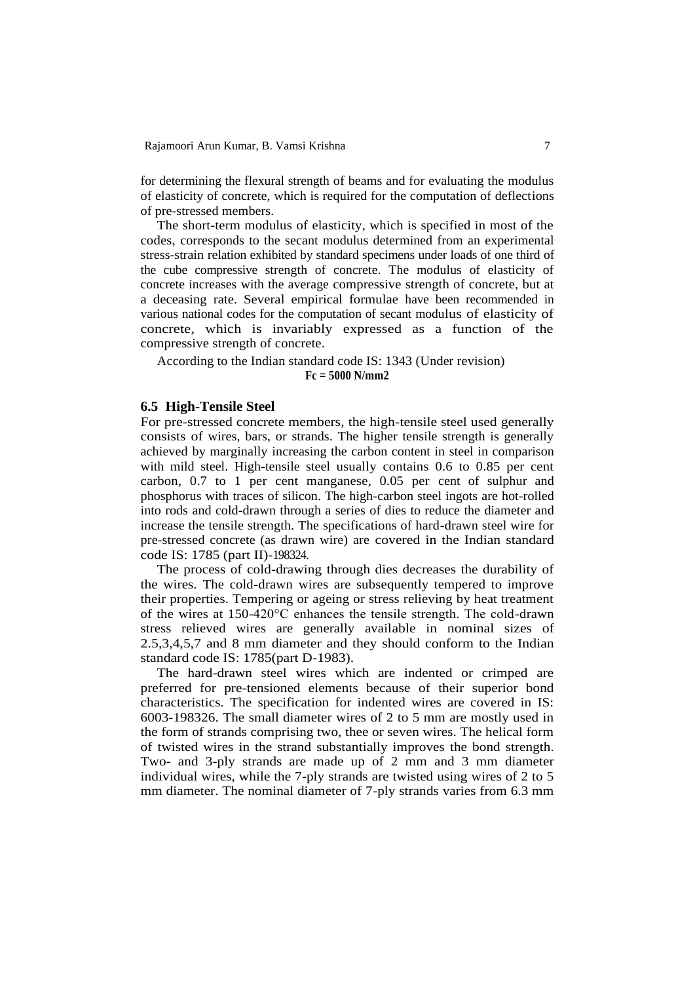for determining the flexural strength of beams and for evaluating the modulus of elasticity of concrete, which is required for the computation of deflections of pre-stressed members.

The short-term modulus of elasticity, which is specified in most of the codes, corresponds to the secant modulus determined from an experimental stress-strain relation exhibited by standard specimens under loads of one third of the cube compressive strength of concrete. The modulus of elasticity of concrete increases with the average compressive strength of concrete, but at a deceasing rate. Several empirical formulae have been recommended in various national codes for the computation of secant modulus of elasticity of concrete, which is invariably expressed as a function of the compressive strength of concrete.

According to the Indian standard code IS: 1343 (Under revision)

**Fc = 5000 N/mm2**

### **6.5 High-Tensile Steel**

For pre-stressed concrete members, the high-tensile steel used generally consists of wires, bars, or strands. The higher tensile strength is generally achieved by marginally increasing the carbon content in steel in comparison with mild steel. High-tensile steel usually contains 0.6 to 0.85 per cent carbon, 0.7 to 1 per cent manganese, 0.05 per cent of sulphur and phosphorus with traces of silicon. The high-carbon steel ingots are hot-rolled into rods and cold-drawn through a series of dies to reduce the diameter and increase the tensile strength. The specifications of hard-drawn steel wire for pre-stressed concrete (as drawn wire) are covered in the Indian standard code IS: 1785 (part II)-198324.

The process of cold-drawing through dies decreases the durability of the wires. The cold-drawn wires are subsequently tempered to improve their properties. Tempering or ageing or stress relieving by heat treatment of the wires at 150-420°C enhances the tensile strength. The cold-drawn stress relieved wires are generally available in nominal sizes of 2.5,3,4,5,7 and 8 mm diameter and they should conform to the Indian standard code IS: 1785(part D-1983).

The hard-drawn steel wires which are indented or crimped are preferred for pre-tensioned elements because of their superior bond characteristics. The specification for indented wires are covered in IS: 6003-198326. The small diameter wires of 2 to 5 mm are mostly used in the form of strands comprising two, thee or seven wires. The helical form of twisted wires in the strand substantially improves the bond strength. Two- and 3-ply strands are made up of 2 mm and 3 mm diameter individual wires, while the 7-ply strands are twisted using wires of 2 to 5 mm diameter. The nominal diameter of 7-ply strands varies from 6.3 mm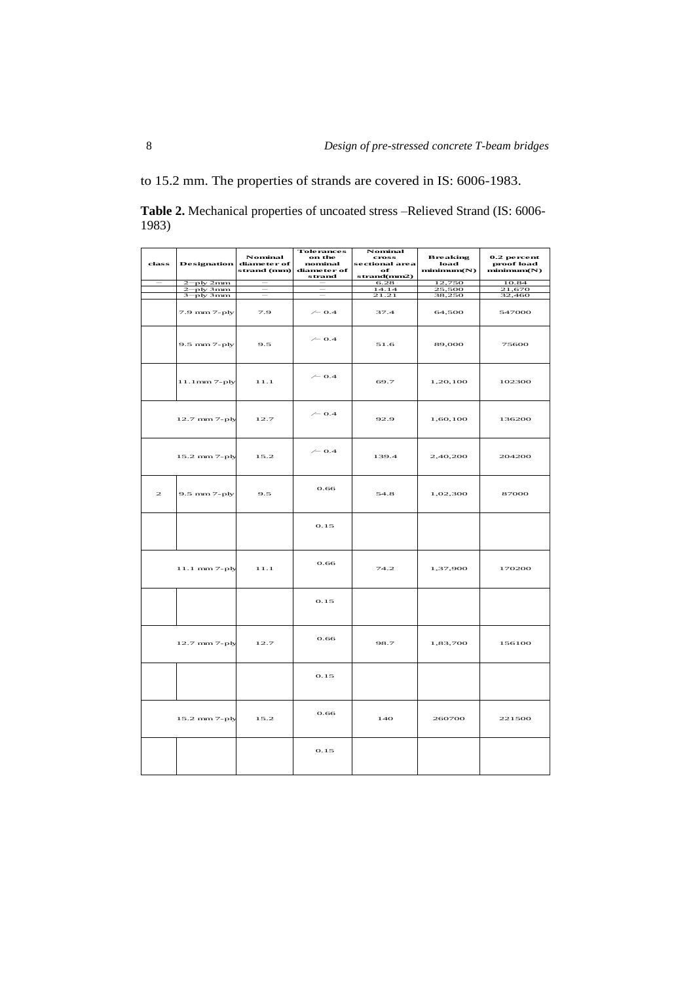to 15.2 mm. The properties of strands are covered in IS: 6006-1983.

**Table 2.** Mechanical properties of uncoated stress –Relieved Strand (IS: 6006- 1983)

| class                                                                                                              | <b>Designation</b> | Nominal<br>diameter of<br>strand (nun) | <b>Tolerances</b><br>on the<br>nominal<br>diameter of<br>strand | Nominal<br><b>cross</b><br>sectional area<br>of<br>strand(mm2) | <b>Breaking</b><br>load<br>minimum(N) | 0.2 percent<br>proof load<br>minimum(N) |
|--------------------------------------------------------------------------------------------------------------------|--------------------|----------------------------------------|-----------------------------------------------------------------|----------------------------------------------------------------|---------------------------------------|-----------------------------------------|
|                                                                                                                    | $2$ -ply $2$ mm    |                                        |                                                                 | 6.28                                                           | 12,750                                | 10.84                                   |
|                                                                                                                    | 2-ply 3mm          | $\overline{\phantom{m}}$               | $\overline{\phantom{m}}$                                        | 14.14                                                          | 25,500                                | 21,670                                  |
|                                                                                                                    | $3 - ply 3mm$      | $\overline{\phantom{m}}$               | $\hspace{0.1mm}-\hspace{0.1mm}$                                 | 21.21                                                          | 38,250                                | 32,460                                  |
|                                                                                                                    | 7.9 mm 7-ply       | 7.9                                    | $\sim$ 0.4                                                      | 37.4                                                           | 64,500                                | 547000                                  |
|                                                                                                                    | 9.5 mm 7-ply       | 9.5                                    | $\sim$ 0.4                                                      | 51.6                                                           | 89,000                                | 75600                                   |
|                                                                                                                    | 11.1mm 7-ply       | 11.1                                   | $\sim$ 0.4                                                      | 69.7                                                           | 1,20,100                              | 102300                                  |
|                                                                                                                    | 12.7 mm 7-ply      | 12.7                                   | $\sim$ 0.4                                                      | 92.9                                                           | 1,60,100                              | 136200                                  |
|                                                                                                                    | 15.2 mm 7-ply      | 15.2                                   | $\sim$ 0.4                                                      | 139.4                                                          | 2,40,200                              | 204200                                  |
| $\mathfrak{D}% _{T}=\mathfrak{D}_{T}\!\left( a,b\right) ,\ \mathfrak{D}_{T}=\mathfrak{D}_{T}\!\left( a,b\right) ,$ | 9.5 mm 7-ply       | 9.5                                    | 0.66                                                            | 54.8                                                           | 1,02,300                              | 87000                                   |
|                                                                                                                    |                    |                                        | 0.15                                                            |                                                                |                                       |                                         |
|                                                                                                                    | 11.1 mm 7-ply      | 11.1                                   | 0.66                                                            | 74.2                                                           | 1,37,900                              | 170200                                  |
|                                                                                                                    |                    |                                        | 0.15                                                            |                                                                |                                       |                                         |
|                                                                                                                    | 12.7 mm 7-ply      | 12.7                                   | 0.66                                                            | 98.7                                                           | 1,83,700                              | 156100                                  |
|                                                                                                                    |                    |                                        | 0.15                                                            |                                                                |                                       |                                         |
|                                                                                                                    | 15.2 mm 7-ply      | 15.2                                   | 0.66                                                            | 140                                                            | 260700                                | 221500                                  |
|                                                                                                                    |                    |                                        | 0.15                                                            |                                                                |                                       |                                         |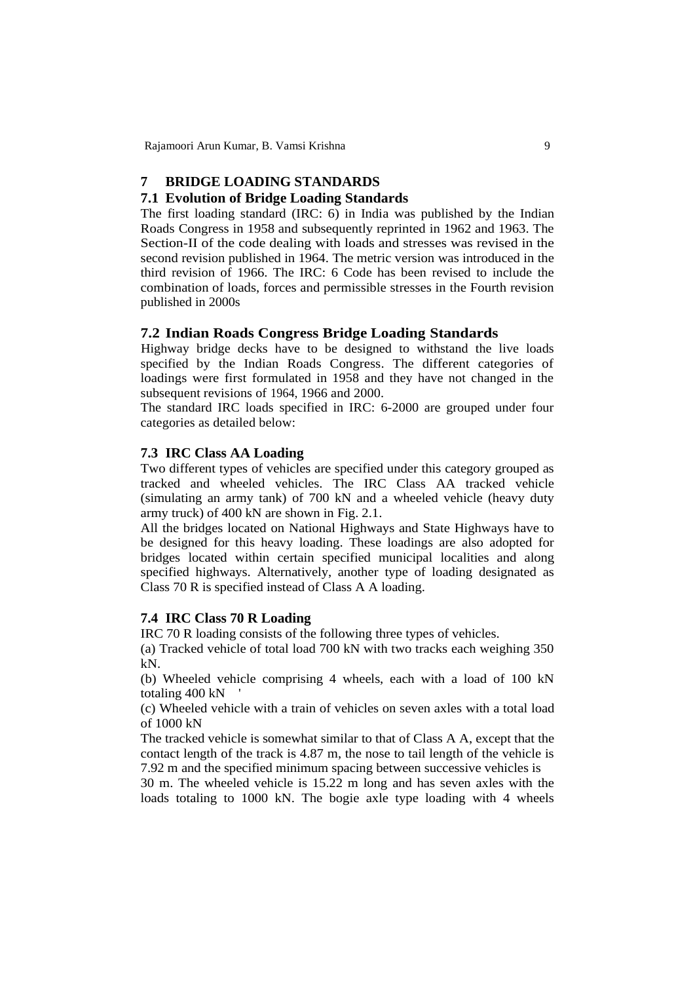### **7 BRIDGE LOADING STANDARDS**

### **7.1 Evolution of Bridge Loading Standards**

The first loading standard (IRC: 6) in India was published by the Indian Roads Congress in 1958 and subsequently reprinted in 1962 and 1963. The Section-II of the code dealing with loads and stresses was revised in the second revision published in 1964. The metric version was introduced in the third revision of 1966. The IRC: 6 Code has been revised to include the combination of loads, forces and permissible stresses in the Fourth revision published in 2000s

#### **7.2 Indian Roads Congress Bridge Loading Standards**

Highway bridge decks have to be designed to withstand the live loads specified by the Indian Roads Congress. The different categories of loadings were first formulated in 1958 and they have not changed in the subsequent revisions of 1964, 1966 and 2000.

The standard IRC loads specified in IRC: 6-2000 are grouped under four categories as detailed below:

# **7.3 IRC Class AA Loading**

Two different types of vehicles are specified under this category grouped as tracked and wheeled vehicles. The IRC Class AA tracked vehicle (simulating an army tank) of 700 kN and a wheeled vehicle (heavy duty army truck) of 400 kN are shown in Fig. 2.1.

All the bridges located on National Highways and State Highways have to be designed for this heavy loading. These loadings are also adopted for bridges located within certain specified municipal localities and along specified highways. Alternatively, another type of loading designated as Class 70 R is specified instead of Class A A loading.

### **7.4 IRC Class 70 R Loading**

IRC 70 R loading consists of the following three types of vehicles.

(a) Tracked vehicle of total load 700 kN with two tracks each weighing 350 kN.

(b) Wheeled vehicle comprising 4 wheels, each with a load of 100 kN totaling 400 kN

(c) Wheeled vehicle with a train of vehicles on seven axles with a total load of 1000 kN

The tracked vehicle is somewhat similar to that of Class A A, except that the contact length of the track is 4.87 m, the nose to tail length of the vehicle is 7.92 m and the specified minimum spacing between successive vehicles is

30 m. The wheeled vehicle is 15.22 m long and has seven axles with the loads totaling to 1000 kN. The bogie axle type loading with 4 wheels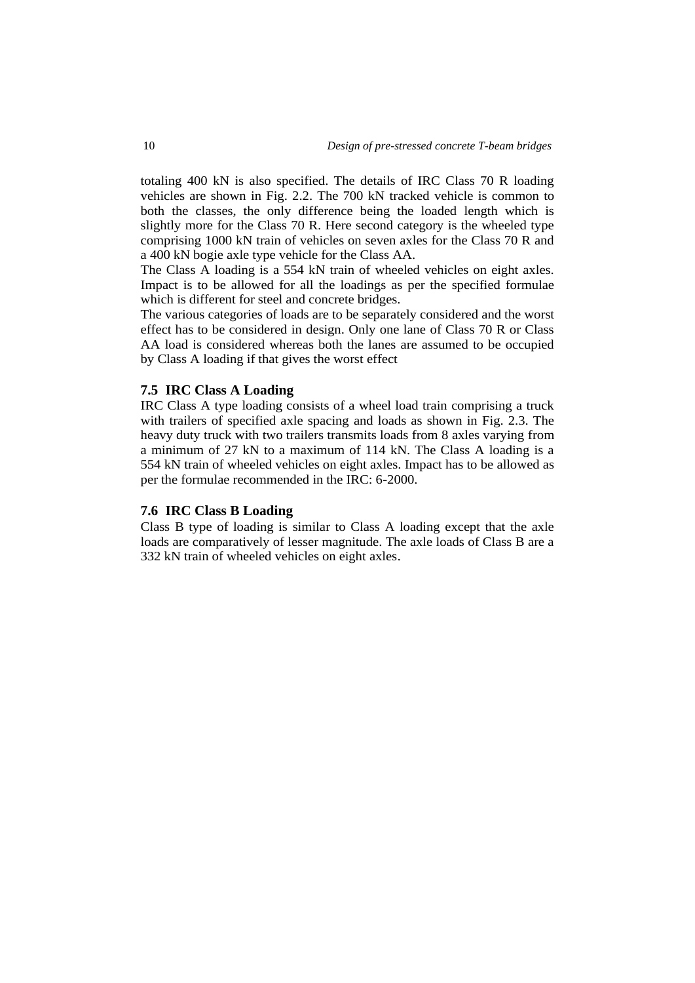totaling 400 kN is also specified. The details of IRC Class 70 R loading vehicles are shown in Fig. 2.2. The 700 kN tracked vehicle is common to both the classes, the only difference being the loaded length which is slightly more for the Class 70 R. Here second category is the wheeled type comprising 1000 kN train of vehicles on seven axles for the Class 70 R and a 400 kN bogie axle type vehicle for the Class AA.

The Class A loading is a 554 kN train of wheeled vehicles on eight axles. Impact is to be allowed for all the loadings as per the specified formulae which is different for steel and concrete bridges.

The various categories of loads are to be separately considered and the worst effect has to be considered in design. Only one lane of Class 70 R or Class AA load is considered whereas both the lanes are assumed to be occupied by Class A loading if that gives the worst effect

### **7.5 IRC Class A Loading**

IRC Class A type loading consists of a wheel load train comprising a truck with trailers of specified axle spacing and loads as shown in Fig. 2.3. The heavy duty truck with two trailers transmits loads from 8 axles varying from a minimum of 27 kN to a maximum of 114 kN. The Class A loading is a 554 kN train of wheeled vehicles on eight axles. Impact has to be allowed as per the formulae recommended in the IRC: 6-2000.

#### **7.6 IRC Class B Loading**

Class B type of loading is similar to Class A loading except that the axle loads are comparatively of lesser magnitude. The axle loads of Class B are a 332 kN train of wheeled vehicles on eight axles.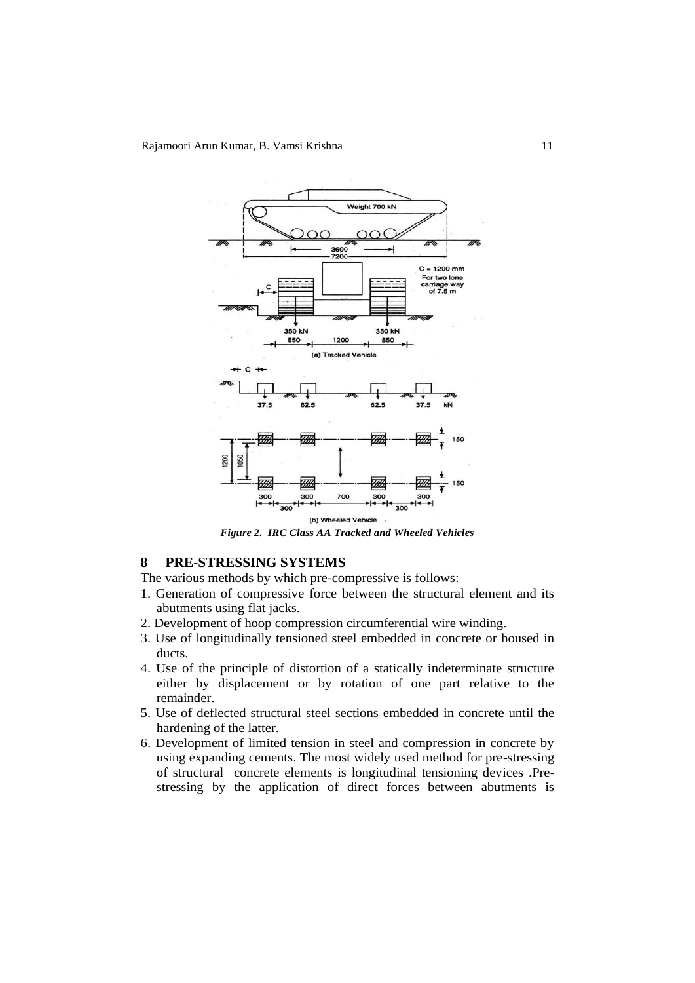

*Figure 2. IRC Class AA Tracked and Wheeled Vehicles*

# **8 PRE-STRESSING SYSTEMS**

The various methods by which pre-compressive is follows:

- 1. Generation of compressive force between the structural element and its abutments using flat jacks.
- 2. Development of hoop compression circumferential wire winding.
- 3. Use of longitudinally tensioned steel embedded in concrete or housed in ducts.
- 4. Use of the principle of distortion of a statically indeterminate structure either by displacement or by rotation of one part relative to the remainder.
- 5. Use of deflected structural steel sections embedded in concrete until the hardening of the latter.
- 6. Development of limited tension in steel and compression in concrete by using expanding cements. The most widely used method for pre-stressing of structural concrete elements is longitudinal tensioning devices .Prestressing by the application of direct forces between abutments is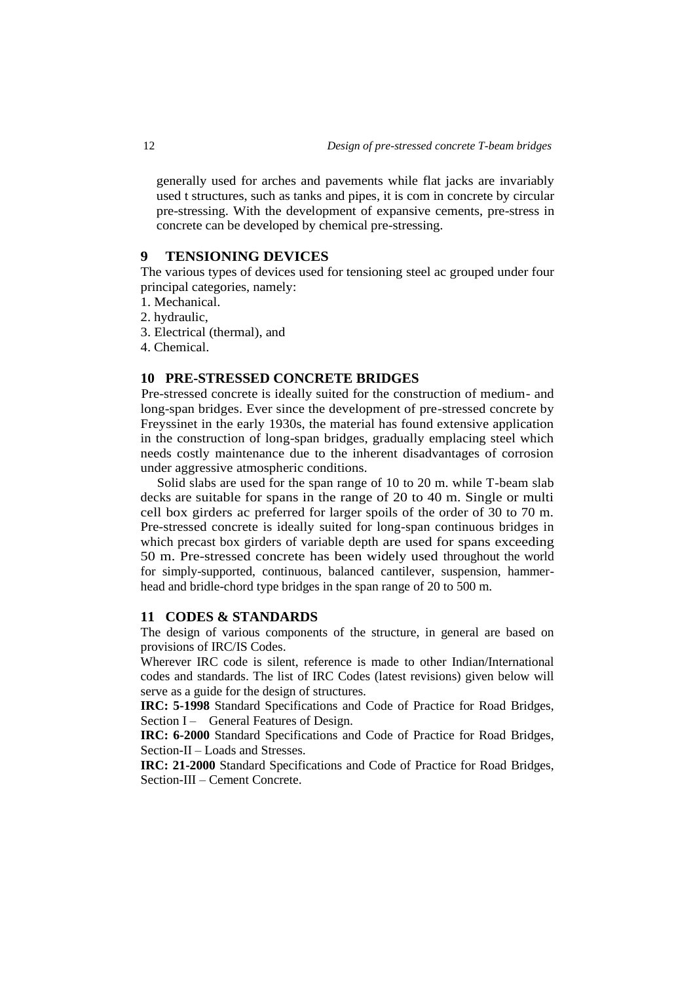generally used for arches and pavements while flat jacks are invariably used t structures, such as tanks and pipes, it is com in concrete by circular pre-stressing. With the development of expansive cements, pre-stress in concrete can be developed by chemical pre-stressing.

### **9 TENSIONING DEVICES**

The various types of devices used for tensioning steel ac grouped under four principal categories, namely:

- 1. Mechanical.
- 2. hydraulic,
- 3. Electrical (thermal), and
- 4. Chemical.

# **10 PRE-STRESSED CONCRETE BRIDGES**

Pre-stressed concrete is ideally suited for the construction of medium- and long-span bridges. Ever since the development of pre-stressed concrete by Freyssinet in the early 1930s, the material has found extensive application in the construction of long-span bridges, gradually emplacing steel which needs costly maintenance due to the inherent disadvantages of corrosion under aggressive atmospheric conditions.

Solid slabs are used for the span range of 10 to 20 m. while T-beam slab decks are suitable for spans in the range of 20 to 40 m. Single or multi cell box girders ac preferred for larger spoils of the order of 30 to 70 m. Pre-stressed concrete is ideally suited for long-span continuous bridges in which precast box girders of variable depth are used for spans exceeding 50 m. Pre-stressed concrete has been widely used throughout the world for simply-supported, continuous, balanced cantilever, suspension, hammerhead and bridle-chord type bridges in the span range of 20 to 500 m.

# **11 CODES & STANDARDS**

The design of various components of the structure, in general are based on provisions of IRC/IS Codes.

Wherever IRC code is silent, reference is made to other Indian/International codes and standards. The list of IRC Codes (latest revisions) given below will serve as a guide for the design of structures.

**IRC: 5-1998** Standard Specifications and Code of Practice for Road Bridges, Section I – General Features of Design.

**IRC: 6-2000** Standard Specifications and Code of Practice for Road Bridges, Section-II – Loads and Stresses.

**IRC: 21-2000** Standard Specifications and Code of Practice for Road Bridges, Section-III – Cement Concrete.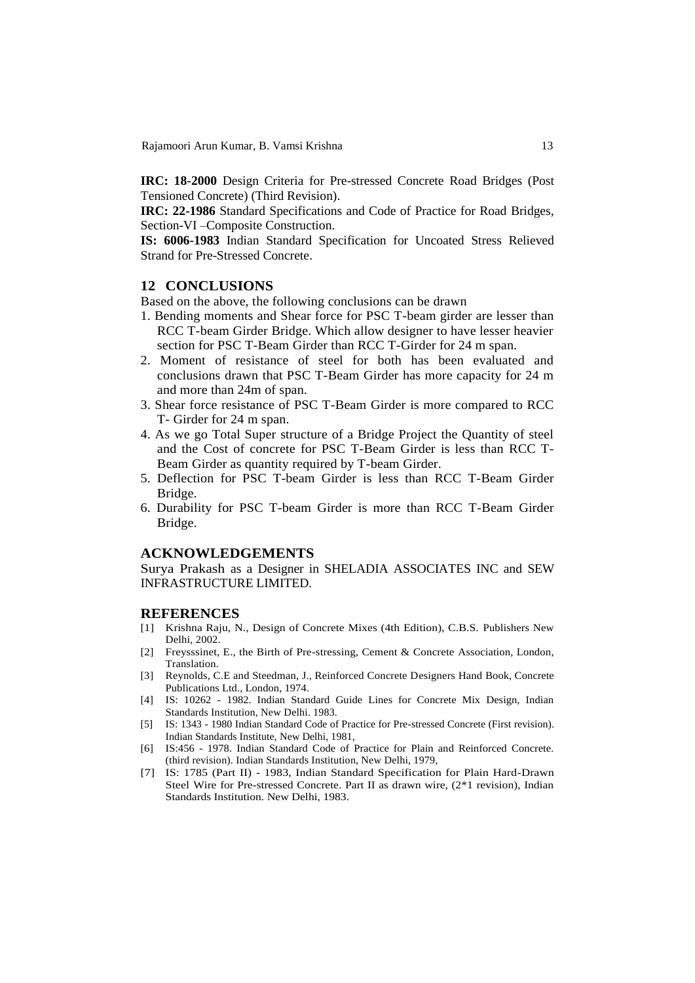Rajamoori Arun Kumar, B. Vamsi Krishna 13

**IRC: 18-2000** Design Criteria for Pre-stressed Concrete Road Bridges (Post Tensioned Concrete) (Third Revision).

**IRC: 22-1986** Standard Specifications and Code of Practice for Road Bridges, Section-VI –Composite Construction.

**IS: 6006-1983** Indian Standard Specification for Uncoated Stress Relieved Strand for Pre-Stressed Concrete.

### **12 CONCLUSIONS**

Based on the above, the following conclusions can be drawn

- 1. Bending moments and Shear force for PSC T-beam girder are lesser than RCC T-beam Girder Bridge. Which allow designer to have lesser heavier section for PSC T-Beam Girder than RCC T-Girder for 24 m span.
- 2. Moment of resistance of steel for both has been evaluated and conclusions drawn that PSC T-Beam Girder has more capacity for 24 m and more than 24m of span.
- 3. Shear force resistance of PSC T-Beam Girder is more compared to RCC T- Girder for 24 m span.
- 4. As we go Total Super structure of a Bridge Project the Quantity of steel and the Cost of concrete for PSC T-Beam Girder is less than RCC T-Beam Girder as quantity required by T-beam Girder.
- 5. Deflection for PSC T-beam Girder is less than RCC T-Beam Girder Bridge.
- 6. Durability for PSC T-beam Girder is more than RCC T-Beam Girder Bridge.

#### **ACKNOWLEDGEMENTS**

Surya Prakash as a Designer in SHELADIA ASSOCIATES INC and SEW INFRASTRUCTURE LIMITED.

#### **REFERENCES**

- [1] Krishna Raju, N., Design of Concrete Mixes (4th Edition), C.B.S. Publishers New Delhi, 2002.
- [2] Freysssinet, E., the Birth of Pre-stressing, Cement & Concrete Association, London, Translation.
- [3] Reynolds, C.E and Steedman, J., Reinforced Concrete Designers Hand Book, Concrete Publications Ltd., London, 1974.
- [4] IS: 10262 1982. Indian Standard Guide Lines for Concrete Mix Design, Indian Standards Institution, New Delhi. 1983.
- [5] IS: 1343 1980 Indian Standard Code of Practice for Pre-stressed Concrete (First revision). Indian Standards Institute, New Delhi, 1981,
- [6] IS:456 1978. Indian Standard Code of Practice for Plain and Reinforced Concrete. (third revision). Indian Standards Institution, New Delhi, 1979,
- [7] IS: 1785 (Part II) 1983, Indian Standard Specification for Plain Hard-Drawn Steel Wire for Pre-stressed Concrete. Part II as drawn wire, (2\*1 revision), Indian Standards Institution. New Delhi, 1983.